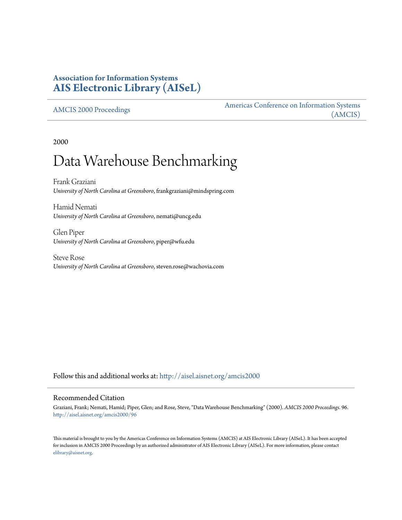# **Association for Information Systems [AIS Electronic Library \(AISeL\)](http://aisel.aisnet.org?utm_source=aisel.aisnet.org%2Famcis2000%2F96&utm_medium=PDF&utm_campaign=PDFCoverPages)**

[AMCIS 2000 Proceedings](http://aisel.aisnet.org/amcis2000?utm_source=aisel.aisnet.org%2Famcis2000%2F96&utm_medium=PDF&utm_campaign=PDFCoverPages)

[Americas Conference on Information Systems](http://aisel.aisnet.org/amcis?utm_source=aisel.aisnet.org%2Famcis2000%2F96&utm_medium=PDF&utm_campaign=PDFCoverPages) [\(AMCIS\)](http://aisel.aisnet.org/amcis?utm_source=aisel.aisnet.org%2Famcis2000%2F96&utm_medium=PDF&utm_campaign=PDFCoverPages)

2000

# Data Warehouse Benchmarking

Frank Graziani *University of North Carolina at Greensboro*, frankgraziani@mindspring.com

Hamid Nemati *University of North Carolina at Greensboro*, nemati@uncg.edu

Glen Piper *University of North Carolina at Greensboro*, piper@wfu.edu

Steve Rose *University of North Carolina at Greensboro*, steven.rose@wachovia.com

Follow this and additional works at: [http://aisel.aisnet.org/amcis2000](http://aisel.aisnet.org/amcis2000?utm_source=aisel.aisnet.org%2Famcis2000%2F96&utm_medium=PDF&utm_campaign=PDFCoverPages)

#### Recommended Citation

Graziani, Frank; Nemati, Hamid; Piper, Glen; and Rose, Steve, "Data Warehouse Benchmarking" (2000). *AMCIS 2000 Proceedings*. 96. [http://aisel.aisnet.org/amcis2000/96](http://aisel.aisnet.org/amcis2000/96?utm_source=aisel.aisnet.org%2Famcis2000%2F96&utm_medium=PDF&utm_campaign=PDFCoverPages)

This material is brought to you by the Americas Conference on Information Systems (AMCIS) at AIS Electronic Library (AISeL). It has been accepted for inclusion in AMCIS 2000 Proceedings by an authorized administrator of AIS Electronic Library (AISeL). For more information, please contact [elibrary@aisnet.org.](mailto:elibrary@aisnet.org%3E)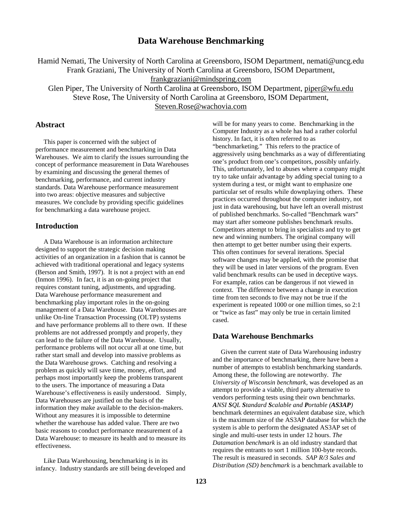# **Data Warehouse Benchmarking**

Hamid Nemati, The University of North Carolina at Greensboro, ISOM Department, nemati@uncg.edu Frank Graziani, The University of North Carolina at Greensboro, ISOM Department, frankgraziani@mindspring.com Glen Piper, The University of North Carolina at Greensboro, ISOM Department, piper@wfu.edu

Steve Rose, The University of North Carolina at Greensboro, ISOM Department, Steven.Rose@wachovia.com

## **Abstract**

 This paper is concerned with the subject of performance measurement and benchmarking in Data Warehouses. We aim to clarify the issues surrounding the concept of performance measurement in Data Warehouses by examining and discussing the general themes of benchmarking, performance, and current industry standards. Data Warehouse performance measurement into two areas: objective measures and subjective measures. We conclude by providing specific guidelines for benchmarking a data warehouse project.

#### **Introduction**

 A Data Warehouse is an information architecture designed to support the strategic decision making activities of an organization in a fashion that is cannot be achieved with traditional operational and legacy systems (Berson and Smith, 1997). It is not a project with an end (Inmon 1996). In fact, it is an on-going project that requires constant tuning, adjustments, and upgrading. Data Warehouse performance measurement and benchmarking play important roles in the on-going management of a Data Warehouse. Data Warehouses are unlike On-line Transaction Processing (OLTP) systems and have performance problems all to there own. If these problems are not addressed promptly and properly, they can lead to the failure of the Data Warehouse. Usually, performance problems will not occur all at one time, but rather start small and develop into massive problems as the Data Warehouse grows. Catching and resolving a problem as quickly will save time, money, effort, and perhaps most importantly keep the problems transparent to the users. The importance of measuring a Data Warehouse's effectiveness is easily understood. Simply, Data Warehouses are justified on the basis of the information they make available to the decision-makers. Without any measures it is impossible to determine whether the warehouse has added value. There are two basic reasons to conduct performance measurement of a Data Warehouse: to measure its health and to measure its effectiveness.

 Like Data Warehousing, benchmarking is in its infancy. Industry standards are still being developed and will be for many years to come. Benchmarking in the Computer Industry as a whole has had a rather colorful history. In fact, it is often referred to as "benchmarketing." This refers to the practice of aggressively using benchmarks as a way of differentiating one's product from one's competitors, possibly unfairly. This, unfortunately, led to abuses where a company might try to take unfair advantage by adding special tuning to a system during a test, or might want to emphasize one particular set of results while downplaying others. These practices occurred throughout the computer industry, not just in data warehousing, but have left an overall mistrust of published benchmarks. So-called "Benchmark wars" may start after someone publishes benchmark results. Competitors attempt to bring in specialists and try to get new and winning numbers. The original company will then attempt to get better number using their experts. This often continues for several iterations. Special software changes may be applied, with the promise that they will be used in later versions of the program. Even valid benchmark results can be used in deceptive ways. For example, ratios can be dangerous if not viewed in context. The difference between a change in execution time from ten seconds to five may not be true if the experiment is repeated 1000 or one million times, so 2:1 or "twice as fast" may only be true in certain limited cased.

# **Data Warehouse Benchmarks**

 Given the current state of Data Warehousing industry and the importance of benchmarking, there have been a number of attempts to establish benchmarking standards. Among these, the following are noteworthy. *The University of Wisconsin benchmark,* was developed as an attempt to provide a viable, third party alternative to vendors performing tests using their own benchmarks. *ANSI SQL Standard Scalable and Portable (AS3AP)* benchmark determines an equivalent database size, which is the maximum size of the AS3AP database for which the system is able to perform the designated AS3AP set of single and multi-user tests in under 12 hours. *The Datamation benchmark* is an old industry standard that requires the entrants to sort 1 million 100-byte records. The result is measured in seconds. *SAP R/3 Sales and Distribution (SD) benchmark* is a benchmark available to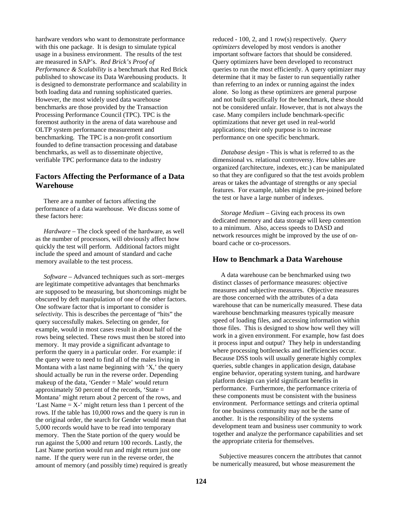hardware vendors who want to demonstrate performance with this one package. It is design to simulate typical usage in a business environment. The results of the test are measured in SAP's. *Red Brick's Proof of Performance & Scalability* is a benchmark that Red Brick published to showcase its Data Warehousing products. It is designed to demonstrate performance and scalability in both loading data and running sophisticated queries. However, the most widely used data warehouse benchmarks are those provided by the Transaction Processing Performance Council (TPC). TPC is the foremost authority in the arena of data warehouse and OLTP system performance measurement and benchmarking. The TPC is a non-profit consortium founded to define transaction processing and database benchmarks, as well as to disseminate objective, verifiable TPC performance data to the industry

# **Factors Affecting the Performance of a Data Warehouse**

 There are a number of factors affecting the performance of a data warehouse. We discuss some of these factors here:

 *Hardware* – The clock speed of the hardware, as well as the number of processors, will obviously affect how quickly the test will perform. Additional factors might include the speed and amount of standard and cache memory available to the test process.

 *Software* – Advanced techniques such as sort–merges are legitimate competitive advantages that benchmarks are supposed to be measuring, but shortcomings might be obscured by deft manipulation of one of the other factors. One software factor that is important to consider is s*electivity.* This is describes the percentage of "hits" the query successfully makes. Selecting on gender, for example, would in most cases result in about half of the rows being selected. These rows must then be stored into memory. It may provide a significant advantage to perform the query in a particular order. For example: if the query were to need to find all of the males living in Montana with a last name beginning with  $'X$ , the query should actually be run in the reverse order. Depending makeup of the data, 'Gender = Male' would return approximately 50 percent of the records, 'State = Montana' might return about 2 percent of the rows, and 'Last Name  $= X$ -' might return less than 1 percent of the rows. If the table has 10,000 rows and the query is run in the original order, the search for Gender would mean that 5,000 records would have to be read into temporary memory. Then the State portion of the query would be run against the 5,000 and return 100 records. Lastly, the Last Name portion would run and might return just one name. If the query were run in the reverse order, the amount of memory (and possibly time) required is greatly reduced - 100, 2, and 1 row(s) respectively. *Query optimizers* developed by most vendors is another important software factors that should be considered. Query optimizers have been developed to reconstruct queries to run the most efficiently. A query optimizer may determine that it may be faster to run sequentially rather than referring to an index or running against the index alone. So long as these optimizers are general purpose and not built specifically for the benchmark, these should not be considered unfair. However, that is not always the case. Many compilers include benchmark-specific optimizations that never get used in real-world applications; their only purpose is to increase performance on one specific benchmark.

 *Database design* - This is what is referred to as the dimensional vs. relational controversy. How tables are organized (architecture, indexes, etc.) can be manipulated so that they are configured so that the test avoids problem areas or takes the advantage of strengths or any special features. For example, tables might be pre-joined before the test or have a large number of indexes.

 *Storage Medium* – Giving each process its own dedicated memory and data storage will keep contention to a minimum. Also, access speeds to DASD and network resources might be improved by the use of onboard cache or co-processors.

## **How to Benchmark a Data Warehouse**

 A data warehouse can be benchmarked using two distinct classes of performance measures: objective measures and subjective measures. Objective measures are those concerned with the attributes of a data warehouse that can be numerically measured. These data warehouse benchmarking measures typically measure speed of loading files, and accessing information within those files. This is designed to show how well they will work in a given environment. For example, how fast does it process input and output? They help in understanding where processing bottlenecks and inefficiencies occur. Because DSS tools will usually generate highly complex queries, subtle changes in application design, database engine behavior, operating system tuning, and hardware platform design can yield significant benefits in performance. Furthermore, the performance criteria of these components must be consistent with the business environment. Performance settings and criteria optimal for one business community may not be the same of another. It is the responsibility of the systems development team and business user community to work together and analyze the performance capabilities and set the appropriate criteria for themselves.

 Subjective measures concern the attributes that cannot be numerically measured, but whose measurement the